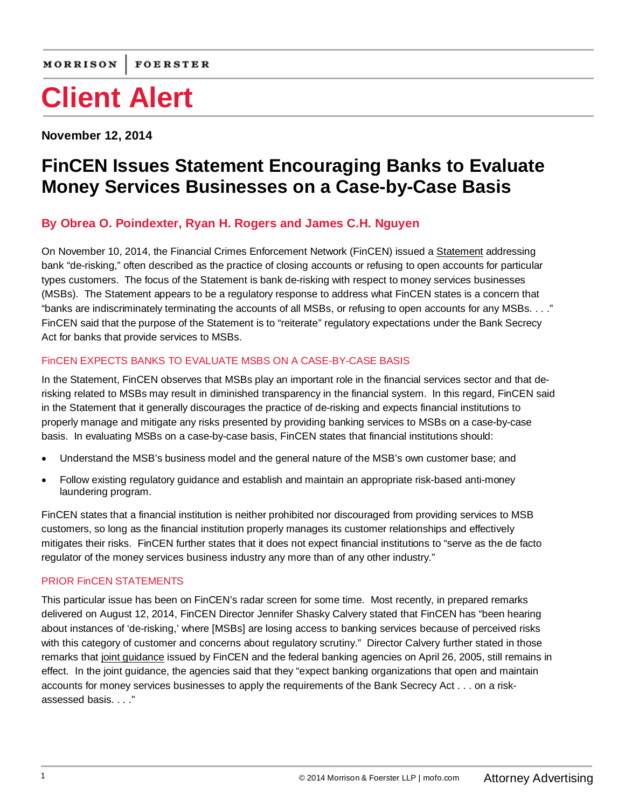# **Client Alert**

**November 12, 2014**

## **FinCEN Issues Statement Encouraging Banks to Evaluate Money Services Businesses on a Case-by-Case Basis**

### **By [Obrea O. Poindexter,](http://www.mofo.com/people/p/poindexter-obrea-o) [Ryan H. Rogers](http://www.mofo.com/people/r/rogers-ryan-h) and [James C.H. Nguyen](http://www.mofo.com/people/n/nguyen-james-ch)**

On November 10, 2014, the Financial Crimes Enforcement Network (FinCEN) issued [a Statement](http://www.fincen.gov/news_room/nr/pdf/20141110.pdf) addressing bank "de-risking," often described as the practice of closing accounts or refusing to open accounts for particular types customers. The focus of the Statement is bank de-risking with respect to money services businesses (MSBs). The Statement appears to be a regulatory response to address what FinCEN states is a concern that "banks are indiscriminately terminating the accounts of all MSBs, or refusing to open accounts for any MSBs. . . ." FinCEN said that the purpose of the Statement is to "reiterate" regulatory expectations under the Bank Secrecy Act for banks that provide services to MSBs.

### FinCEN EXPECTS BANKS TO EVALUATE MSBS ON A CASE-BY-CASE BASIS

In the Statement, FinCEN observes that MSBs play an important role in the financial services sector and that derisking related to MSBs may result in diminished transparency in the financial system. In this regard, FinCEN said in the Statement that it generally discourages the practice of de-risking and expects financial institutions to properly manage and mitigate any risks presented by providing banking services to MSBs on a case-by-case basis. In evaluating MSBs on a case-by-case basis, FinCEN states that financial institutions should:

- Understand the MSB's business model and the general nature of the MSB's own customer base; and
- Follow existing regulatory guidance and establish and maintain an appropriate risk-based anti-money laundering program.

FinCEN states that a financial institution is neither prohibited nor discouraged from providing services to MSB customers, so long as the financial institution properly manages its customer relationships and effectively mitigates their risks. FinCEN further states that it does not expect financial institutions to "serve as the de facto regulator of the money services business industry any more than of any other industry."

#### PRIOR FinCEN STATEMENTS

This particular issue has been on FinCEN's radar screen for some time. Most recently, in prepared remarks delivered on August 12, 2014, FinCEN Director Jennifer Shasky Calvery stated that FinCEN has "been hearing about instances of 'de-risking,' where [MSBs] are losing access to banking services because of perceived risks with this category of customer and concerns about regulatory scrutiny." Director Calvery further stated in those remarks that [joint guidance](http://www.fincen.gov/news_room/nr/pdf/20050426.pdf) issued by FinCEN and the federal banking agencies on April 26, 2005, still remains in effect. In the joint guidance, the agencies said that they "expect banking organizations that open and maintain accounts for money services businesses to apply the requirements of the Bank Secrecy Act . . . on a riskassessed basis. . . ."